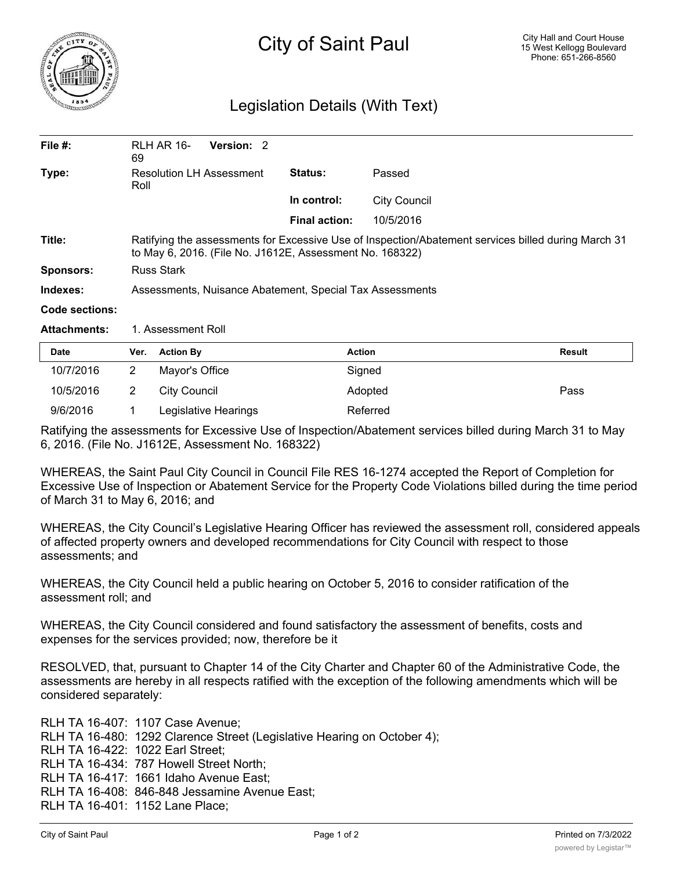

## Legislation Details (With Text)

| File $#$ :     | RLH AR 16-<br>69                                                                                                                                                | Version: 2 |                      |                     |  |  |
|----------------|-----------------------------------------------------------------------------------------------------------------------------------------------------------------|------------|----------------------|---------------------|--|--|
| Type:          | <b>Resolution LH Assessment</b><br>Roll                                                                                                                         |            | <b>Status:</b>       | Passed              |  |  |
|                |                                                                                                                                                                 |            | In control:          | <b>City Council</b> |  |  |
|                |                                                                                                                                                                 |            | <b>Final action:</b> | 10/5/2016           |  |  |
| Title:         | Ratifying the assessments for Excessive Use of Inspection/Abatement services billed during March 31<br>to May 6, 2016. (File No. J1612E, Assessment No. 168322) |            |                      |                     |  |  |
| Sponsors:      | <b>Russ Stark</b>                                                                                                                                               |            |                      |                     |  |  |
| Indexes:       | Assessments, Nuisance Abatement, Special Tax Assessments                                                                                                        |            |                      |                     |  |  |
| Code sections: |                                                                                                                                                                 |            |                      |                     |  |  |

Attachments: 1. Assessment Roll

| <b>Date</b> | Ver. | <b>Action By</b>     | <b>Action</b> | Result |
|-------------|------|----------------------|---------------|--------|
| 10/7/2016   |      | Mayor's Office       | Signed        |        |
| 10/5/2016   |      | City Council         | Adopted       | Pass   |
| 9/6/2016    |      | Legislative Hearings | Referred      |        |

Ratifying the assessments for Excessive Use of Inspection/Abatement services billed during March 31 to May 6, 2016. (File No. J1612E, Assessment No. 168322)

WHEREAS, the Saint Paul City Council in Council File RES 16-1274 accepted the Report of Completion for Excessive Use of Inspection or Abatement Service for the Property Code Violations billed during the time period of March 31 to May 6, 2016; and

WHEREAS, the City Council's Legislative Hearing Officer has reviewed the assessment roll, considered appeals of affected property owners and developed recommendations for City Council with respect to those assessments; and

WHEREAS, the City Council held a public hearing on October 5, 2016 to consider ratification of the assessment roll; and

WHEREAS, the City Council considered and found satisfactory the assessment of benefits, costs and expenses for the services provided; now, therefore be it

RESOLVED, that, pursuant to Chapter 14 of the City Charter and Chapter 60 of the Administrative Code, the assessments are hereby in all respects ratified with the exception of the following amendments which will be considered separately:

RLH TA 16-407: 1107 Case Avenue; RLH TA 16-480: 1292 Clarence Street (Legislative Hearing on October 4); RLH TA 16-422: 1022 Earl Street; RLH TA 16-434: 787 Howell Street North; RLH TA 16-417: 1661 Idaho Avenue East; RLH TA 16-408: 846-848 Jessamine Avenue East; RLH TA 16-401: 1152 Lane Place;